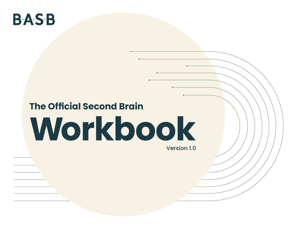## **BASB**

# **The Official Second Brain Workbook**

Version 1.0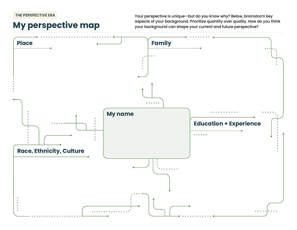**THE PERSPECTIVE ERA**

#### **My perspective map**

Your perspective is unique—but do you know why? Below, brainstorm key aspects of your background. Prioritize quantity over quality. How do you think your background can shape your current and future perspective?

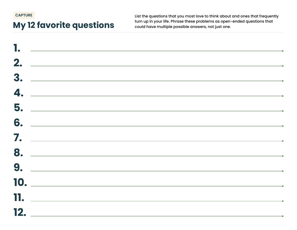**CAPTURE**

### **My 12 favorite questions**

List the questions that you most love to think about and ones that frequently turn up in your life. Phrase these problems as open-ended questions that could have multiple possible answers, not just one.

|  |                | $\mathbf{L}$ , the contract of the contract of the contract of the contract of the contract of the contract of the contract of the contract of the contract of the contract of the contract of the contract of the contract of th |  |  |
|--|----------------|-----------------------------------------------------------------------------------------------------------------------------------------------------------------------------------------------------------------------------------|--|--|
|  |                |                                                                                                                                                                                                                                   |  |  |
|  |                | $3.$ $\overline{\phantom{a}}$                                                                                                                                                                                                     |  |  |
|  |                | $\overline{\mathbf{a}}$ .                                                                                                                                                                                                         |  |  |
|  |                |                                                                                                                                                                                                                                   |  |  |
|  |                |                                                                                                                                                                                                                                   |  |  |
|  |                | $\overline{\ }$ .                                                                                                                                                                                                                 |  |  |
|  |                | 8.                                                                                                                                                                                                                                |  |  |
|  |                | 9.                                                                                                                                                                                                                                |  |  |
|  |                | $\blacksquare$                                                                                                                                                                                                                    |  |  |
|  | $\blacksquare$ |                                                                                                                                                                                                                                   |  |  |
|  |                | $\blacksquare$                                                                                                                                                                                                                    |  |  |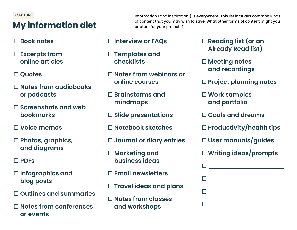#### **CAPTURE**

### **My information diet**

Information (and inspiration!) is everywhere. This list includes common kinds of content that you may wish to save. What other forms of content might you capture for your projects?

- **□ Book notes**
- □ **Excerpts from online articles**
- **□ Ouotes**
- o **Notes from audiobooks or podcasts**
- □ Screenshots and web **bookmarks**
- o **Voice memos**
- o **Photos, graphics, and diagrams**
- o **PDFs**
- o **Infographics and blog posts**
- o **Outlines and summaries**
- □ Notes from conferences **or events**
- □ **Interview or FAQs**
- o **Templates and checklists**
- □ Notes from webinars or **online courses**
- o **Brainstorms and mindmaps**
- □ Slide presentations
- o **Notebook sketches**
- □ Journal or diary entries
- □ Marketing and **business ideas**
- o **Email newsletters**
- o **Travel ideas and plans**
- o **Notes from classes and workshops**
- □ Reading list (or an **Already Read list)**
- □ Meeting notes **and recordings**
- **□ Project planning notes**
- □ Work samples **and portfolio**
- o **Goals and dreams**
- o **Productivity/health tips**
- o **User manuals/guides**
- o **Writing ideas/prompts**

| <b>Experience</b>                          |
|--------------------------------------------|
| <b>Contract Contract Contract Contract</b> |
| $\Box$ and $\Box$ and $\Box$               |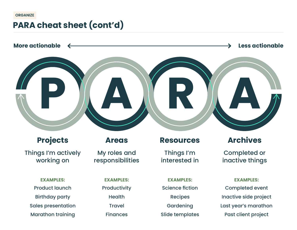#### **ORGANIZE**

#### **PARA cheat sheet (cont'd)**



Birthday party Sales presentation Marathon training

Health Travel **Finances** 

Recipes **Gardening** Slide templates

Inactive side project Last year's marathon Past client project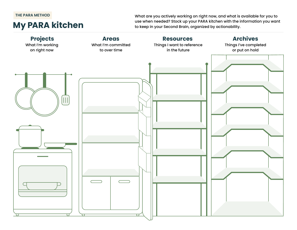#### **THE PARA METHOD**

#### **My PARA kitchen**

What are you actively working on right now, and what is available for you to use when needed? Stock up your PARA kitchen with the information you want to keep in your Second Brain, organized by actionability.

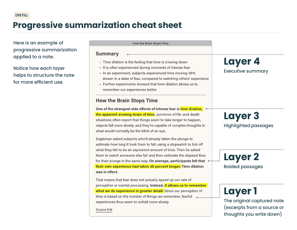### **Progressive summarization cheat sheet**

Here is an example of progressive summarization applied to a note.

Notice how each layer helps to structure the note for more efficient use.

| <b>How the Brain Stops Time</b>                                                                                                                                                                                                                                                                                                                                                                                                                                        |                                                                                                        |
|------------------------------------------------------------------------------------------------------------------------------------------------------------------------------------------------------------------------------------------------------------------------------------------------------------------------------------------------------------------------------------------------------------------------------------------------------------------------|--------------------------------------------------------------------------------------------------------|
| <b>Summary</b><br>- Time dilation is the feeling that time is slowing down<br>It is often experienced during moments of intense fear<br>- In an experiment, subjects experienced time moving 36%<br>slower in a state of fear, compared to watching others' experience<br>- Further experiments showed that time dilation allows us to<br>remember our experiences better                                                                                              | <b>Layer 4</b><br><b>Executive summary</b>                                                             |
| <b>How the Brain Stops Time</b>                                                                                                                                                                                                                                                                                                                                                                                                                                        |                                                                                                        |
| One of the strangest side effects of intense fear is time dilation,<br>the apparent slowing down of timesurvivors of life-and-death<br>situations often report that things seem to take longer to happen,<br>objects fall more slowly, and they're capable of complex thoughts in<br>what would normally be the blink of an eye.<br>Eagleman asked subjects who'd already taken the plunge to<br>estimate how long it took them to fall, using a stopwatch to tick off | <b>Layer 3</b><br><b>Highlighted passages</b>                                                          |
| what they felt to be an equivalent amount of time. Then he asked<br>them to watch someone else fall and then estimate the elapsed time<br>for their plunge in the same way. On average, participants felt that<br>their own experience had taken 36 percent longer. Time dilation<br>was in effect.                                                                                                                                                                    | <b>Layer 2</b><br><b>Bolded passages</b>                                                               |
| That means that fear does not actually speed up our rate of<br>perception or mental processing. Instead, it allows us to remember<br>what we do experience in greater detail. Since our perception of<br>time is based on the number of things we remember, fearful<br>experiences thus seem to unfold more slowly.<br>Source link                                                                                                                                     | <b>Layer 1</b><br>The original captured note<br>(excerpts from a source or<br>thoughts you write down) |